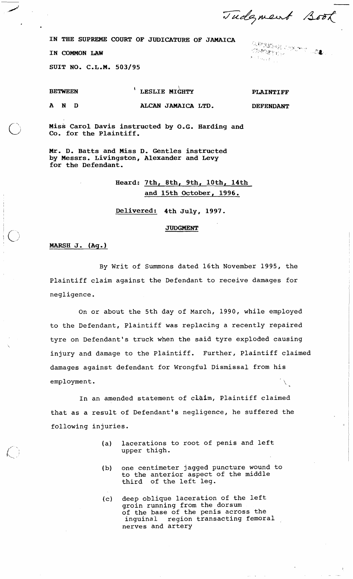Tudgment Book

 $\langle \hat{G} \rangle$  , and  $\langle \hat{G} \rangle$  , and  $\langle \hat{G} \rangle$  , and  $\langle \hat{G} \rangle$  , and  $\langle \hat{G} \rangle$ 

IN THE SUPREME COURT OF JUDICATURE OF JAMAICA<br>IN COMMON LAW **(Weighter and Supplies of Seconds)** 

SUIT NO. C.L.M. 503/95

BETWEEN **I LESLIE MIGHTY** 

PLAINTIFF

 $\sim \tau_{\rm star, exp}$ 

AND **ALCAN** JAMAICA LTD.

DEFENDANT

Miss Carol Davis instructed by O.G. Harding and Co. for the Plaintiff.

Mr. D. Batts and Miss D. Gentles instructed by Messrs. Livingston, Alexander and Levy for the Defendant.

# Heard: 7th, 8th, 9th, 10th, 14th and 15th October, 1996.

Delivered: 4th July, 1997.

## **JUDGMENT**

# - **MARsH** J. (Ag.)

 $\lambda$ 

By Writ of Summons dated 16th November 1995, the Plaintiff claim against the Defendant to receive damages for negligence.

On or about the 5th day of March, 1990, while employed to the Defendant, Plaintiff was replacing a recently repaired tyre on Defendant's truck when the said tyre exploded causing injury and damage to the Plaintiff. Further, Plaintiff claimed damages against defendant for Wrongful Dismissal from his employment.

In an amended statement of claim, Plaintiff claimed that as a result of Defendant's negligence, he suffered the following injuries.

- (a) lacerations to root of penis and left upper thigh.
- (b) one centimeter jagged puncture wound to to the anterior aspect of the middle third of the left leg.
- (c) deep oblique laceration of the left groin running from the dorsum of the base of the penis across the inguinal region transacting femoral nerves and artery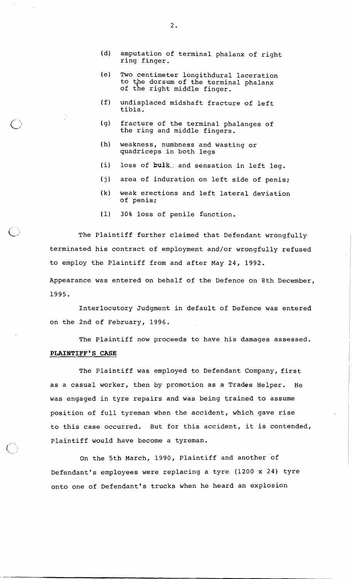- (d) amputation of terminal phalanx of right ring finger.
- (e) Two centimeter longithdural laceration to the dorsum of the terminal phalanx of the right middle finger.
- (f) undisplaced midshaft fracture of left tibia.
- (g) fracture of the terminal phalanges of the ring and middle fingers.
- (h) weakness, numbness and wasting or quadriceps in both legs
- (i) loss of **bufk.:** and sensation in left leg.
- (j) area of induration on left side of penis;
- **(k)** weak erections and left lateral deviation of penis;
- (1) 30% loss of penile function.

The Plaintiff further claimed that Defendant wrongfully terminated his contract of employment and/or wrongfully refused to employ the Plaintiff from and after May 24, 1992.

Appearance was entered on behalf of the Defence on 8th December, 1995.

Interlocutory Judgment in default of Defence was entered on the 2nd of February, 1996.

The Plaintiff now proceeds to have his damages assessed. **PLAINTIFF'S CASE** 

The Plaintiff was employed to Defendant Company, first as a casual worker, then by promotion as a Trades Helper. He was engaged in tyre repairs and was being trained to assume position of full tyreman when the accident, which gave rise to this case occurred. But for this accident, it is contended, Plaintiff would have become a tyreman.

On the 5th March, 1990, Plaintiff and another of Defendant's employees were replacing a tyre (1200 x 24) tyre onto one of Defendant's trucks when he heard an explosion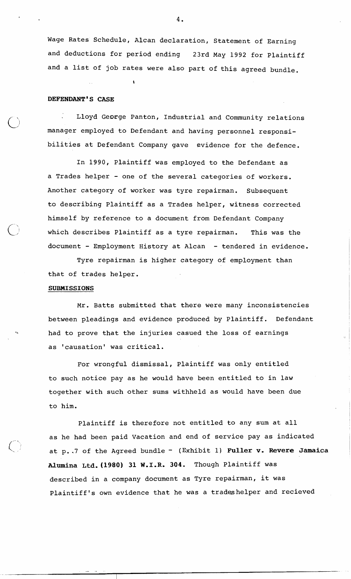Wage Rates Schedule, Alcan declaration, Statement of Earning and deductions for period ending 23rd May 1992 for plaintiff and a list of job rates were also part of this agreed bundle.

 $\mathbf{r}$ 

# **DEFENDANT'S CASE**

: Lloyd George Panton, Industrial and Community relations manager employed to Defendant and having personnel responsibilities at Defendant Company gave evidence for the defence.

In 1990, Plaintiff was employed to the Defendant as a Trades helper - one of the several categories of workers. Another category of worker was tyre repairman. Subsequent to describing Plaintiff as a Trades helper, witness corrected himself by reference to a document from Defendant Company which describes Plaintiff as a tyre repairman. This was the document - Employment History at Alcan - tendered in evidence.

Tyre repairman is higher category of employment than that of trades helper.

#### **SUBMISSIONS**

Mr. Batts submitted that there were many inconsistencies between pleadings and evidence produced by Plaintiff. Defendant **.a** had to prove that the injuries casued the loss of earnings as 'causation' was critical.

For wrongful dismissal, Plaintiff was only entitled to such notice pay as he would have been entitled to in law together with such other sums withheld as would have been due to him.

Plaintiff is therefore not entitled to any sum at all as he had been paid Vacation and end of service pay as indicated at p. .7 of the Agreed bundle - (Exhibit 1) **Fuller v. Revere Jamaica Uumina ~td.(1980) 31 W.I.R. 304.** Though Plaintiff was described in a company document as Tyre repairman, it was Plaintiff's own evidence that he was a tradeshelper and recieved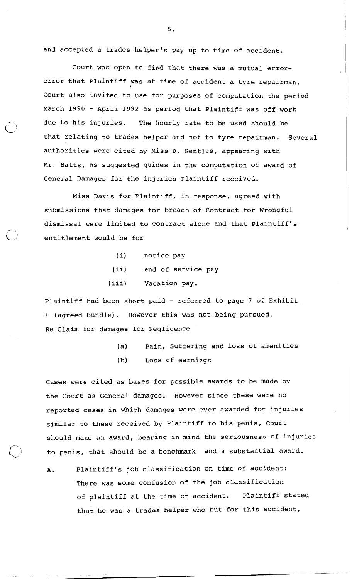and accepted a trades helper's pay up to time of accident.

Court was open to find that there was a mutual errorerror that Plaintiff was at time of accident a tyre repairman. Court also invited to use for purposes of computation the period March 1990 - April 1992 as period that Plaintiff was off work due to his injuries. The hourly rate to be used should be that relating to trades helper and not to tyre repairman. Several authorities were cited by Miss D. Gentles, appearing with Mr. Batts, as suggested guides in the computation of award of General Damages for the injuries Plaintiff received.

11

Miss Davis for plaintiff, in response, agreed with submissions that damages for breach of Contract for Wrongful dismissal were limited to contract alone and that Plaintiff's **7.** i.) entitlement would be for

- (i) notice pay
- (ii) end of service pay
- (iii) Vacation pay.

plaintiff had been short paid - referred to page 7 of Exhibit 1 (agreed bundle). However this was not being pursued. Re Claim for damages for Negligence

- (a) Pain, Suffering and loss of amenities
- (b) Loss of earnings

 $\sim$ 

Cases were cited as bases for possible awards to be made by the Court as General damages. However since these were no reported cases in which damages were ever awarded for injuries similar to these received by Plaintiff to his penis, Court should make an award, bearing in mind the seriousness of injuries to penis, that should be a benchmark and a substantial award.

A. Plaintiff's job classification on time of accident: There was some confusion of the job classification of plaintiff at the time of accident. Plaintiff stated that he was a trades helper who but'for this accident,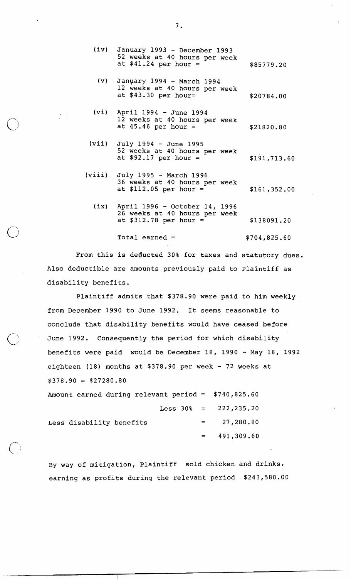- (iv) January 1993 December 1993 52 weeks at 40 hours per week at  $$41.24$  per hour =  $$85779.20$
- (v) Janpary 1994 March 1994 12 weeks at 40 hours per week at  $$43.30$  per hour=  $$20784.00$
- (vi) April 1994 June 1994 12 weeks at 40 hours per week at  $45.46$  per hour =  $$21820.80$
- (vii) July 1994 June 1995 52 weeks at 40 hours per week at \$92.17 per hour =  $$191,713.60$
- (viii) July 1995 March 1996 36 weeks at 40 hours per week at  $$112.05$  per hour =  $$161,352.00$ 
	- (ix) April 1996 October 14, 1996 26 weeks at 40 hours per week at  $$312.78$  per hour =  $$138091.20$

 $Total earned =$  \$704,825.60

From this is deducted 30% for taxes and statutory dues. Also deductible are amounts previously paid to Plaintiff as disability benefits.

Plaintiff admits that \$378.90 were paid to him weekly from December 1990 to June 1992. It seems reasonable to conclude that disability benefits would have ceased before June 1992. Consequently the period for which disability benefits were paid would be December 18, 1990 - May 18, 1992 eighteen (18) months at \$378.90 per week - 72 weeks at  $$378.90 = $27280.80$ 

Amount earned during relevant period = \$740,825.60 Less  $30\% = 222,235.20$ Less disability benefits  $=$  27,280.80 491,309.60  $=$ 

By way of mitigation, Plaintiff sold chicken and drinks, earning as profits during the relevant period \$243,580.00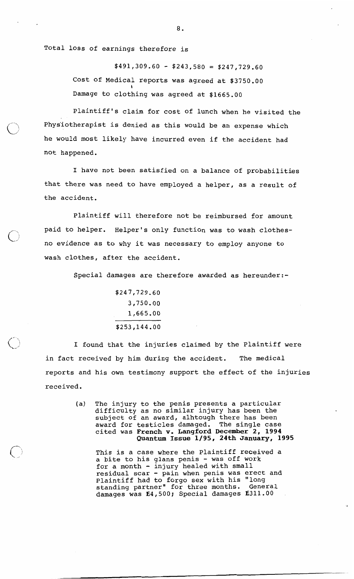Total loss of earnings therefore is

 $$491,309.60 - $243,580 = $247,729.60$ Cost of Medical reports was agreed at \$3750.00  $\overline{\phantom{a}}$ Damage to clothing was agreed at \$1665.00

Plaintiff's claim for cost of lunch when he visited the Phys'iotherapist is denied as this would be an expense which he would most likely have incurred even if the accident had not happened.

I have not been satisfied on a balance of probabilities that there was need to have employed a helper, as a result of the accident.

Plaintiff will therefore not be reimbursed for amount paid to helper. Helper's only function was to wash clothesno evidence as to why it was necessary to employ anyone to wash clothes, after the accident.

Special damages are therefore awarded as hereunder:-

$$
$247,729.60
$$
  
3,750.00  
1,665.00  

$$
3253,144.00
$$

I found that the injuries claimed by the Plaintiff were in fact received by him during the accident. The medical reports and his own testimony support the effect of the injuries received.

> (a) The injury to the penis presents a particular difficulty as no similar injury has been the subject of an award, alhtough there has been award for testicles damaged. The single case cited was French **v.** Langford December 2, 1994 Quantum Issue 1/95, 24th January, 1995

This is a case where the Plaintiff received a rnis is a case where the riaintiff fecerv<br>a bite to his glans penis – was off work a bite to his gians penis - was oll wor<br>for a month - injury healed with small ror a montn - injury nealed with small<br>residual scar - pain when penis was erect and Plaintiff had to forgo sex with his "long<br>standing partner" for three months. General standing partner" for three months. damages was E4,500; Special damages E311.00

 $\bf 8$  .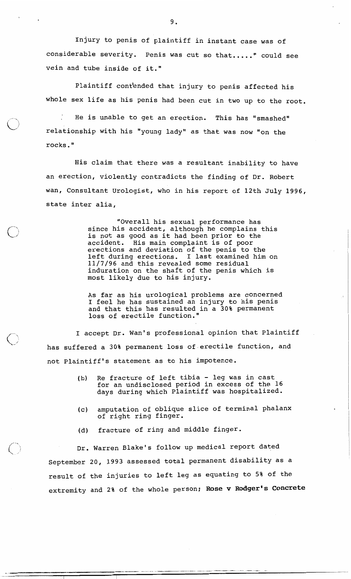Injury to penis of plaintiff in instant case was of considerable severity. Penis was cut so that....." could see vein and tube inside of it."

Plaintiff cont'ended that injury to penis affected his whole sex life as his penis had been cut in two up to the root.

He is unable to get an erection. This has "smashed" relationship with his "young lady" as that was now "on the rocks. "

His claim that there was a resultant inability to have an erection, violently contradicts the finding of Dr. Robert wan, Consultant Urologist, who in his report of 12th July 1996, state inter alia,

> "Overall his sexual performance has since his accident, although he complains this is not as good as it had been prior to the accident. His main complaint is of poor erections and deviation of the penis to the left during erections. I last examined him on 11/7/96 and this revealed some residual induration on the shaft of the penis which is most likely due to his injury.

As far as his urological problems are concerned I feel he has sustained an injury to his penis and that this has resulted in a 30% permanent loss of erectile function."

I accept Dr. Wan's professional opinion that Plaintiff has suffered a 30% permanent loss of.erectile function, and not Plaintiff's statement as to his impotence.

 $\circ$ 

- (b) Re fracture of left tibia leg was in cast for an undisclosed period in excess of the 16 days during which Plaintiff was hospitalized.
- (c) amputation of oblique slice of terminal phalanx of right ring finger.
- (d) fracture of ring and middle finger.

Dr. Warren Blake's follow up medical report dated September 20, 1993 assessed total permanent disability as a result of the injuries to left leg as equating to 5% of the extremity and 2% of the whole person; **Rose** v **Rodger's Concrete**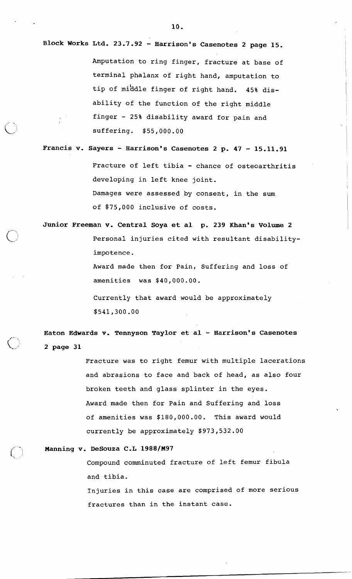**Block Works Ltd. 23.7.92** - **Harrison's Casenotes 2 page 15.**  Amputation to ring finger, fracture at base of terminal phalanx of right hand, amputation to tip of middle finger of right hand. 45% disability of the function of the right middle finger - 25% disability award for pain and suffering. \$55,000.00

**Francis v. Sayers** - **Harrison's Casenotes 2 p. 47** - **15.11.91**  Fracture of left tibia - chance of osteoarthritis developing in left knee joint. Damages were assessed by consent, in the sum of \$75,000 inclusive of costs.

**Junior Freeman v. Central Soya et a1 p, 239 Khan's Volume 2**  Personal injuries cited with resultant disabilityimpotence. Award made then for Pain, Suffering and loss of

amenities was \$40,000.00.

Currently that award would be approximately \$541,300.00

**Eaton Edwards v. Tennyson Taylor et a1** - **Harrison's Casenotes 2 page 31** 

> Fracture was to right femur with multiple lacerations and abrasions to face and back of head, as also four broken teeth and glass splinter in the eyes. Award made then for Pain and Suffering and loss of amenities was \$180,000.00. This award would currently be approximately \$973,532.00

Manning v. DeSouza C.L 1988/M97

Compound comminuted fracture of left femur fibula and tibia.

Injuries in this case are comprised of more serious fractures than in the instant case.

 $\mathcal{L}_{\mu}(\mathbf{r}^{\prime})$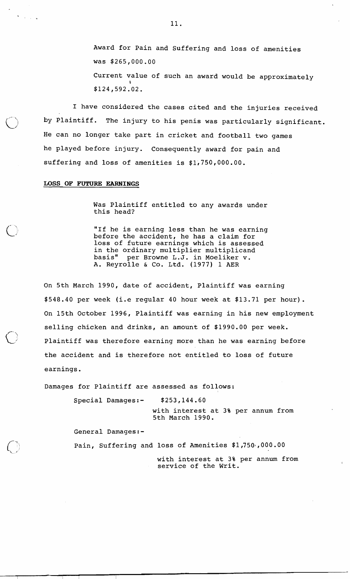Award for Pain and Suffering and loss of amenities was \$265,000.00 Current value of such an award would be approximately **I**  \$124,592.02.

I have considered the cases cited and the injuries received by Plaintiff. The injury to his penis was particularly significant. He can no longer take part in cricket and football two games he played before injury. Consequently award for pain and suffering and loss of amenities is  $$1,750,000.00$ .

## **LOSS OF FUTURE EARNINGS**

Was Plaintiff entitled to any awards under this head?

"If he is earning less than he was earning before the accident, he has a claim for loss of future earnings which is assessed in the ordinary multiplier multiplicand<br>basis" per Browne L.J. in Moeliker v. per Browne L.J. in Moeliker v. A. Reyrolle & Co. Ltd. (1977) 1 AER

On 5th March 1990, date of accident, Plaintiff was earning \$548.40 per week (i.e regular 40 hour week at \$13.71 per hour). On 15th October 1996, Plaintiff was earning in his new employment selling chicken and drinks, an amount of \$1990.00 per week. Plaintiff was therefore earning more than he was earning before the accident and is therefore not entitled to loss of future earnings.

Damages for Plaintiff are assessed as follows:

Special Damages:- \$253,144.60

with interest at 3% per annum from 5th March 1990.

General Damages:-

Pain, Suffering and loss of Amenities \$1,750~,000.00

with interest at **3%** per annum from service of the Writ.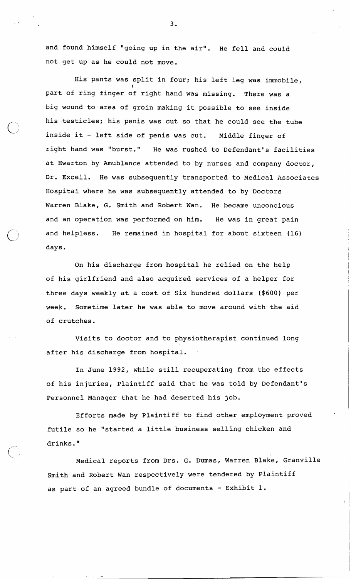and found himself "going up in the air". He fell and could not get up as he could not move.

His pants was split in four; his left leg was immobile, **t**  part of ring finger of right hand was missing. There was a big wound to'area of groin making it possible to see inside his testicles; his penis was cut so that he could see the tube inside it - left side of penis was cut. Middle finger of right hand was "burst." He was rushed to Defendant's facilities at Ewarton by Amublance attended to by nurses and company doctor, Dr. Excell. He was subsequently transported to Medical Associates Hospital where he was subsequently attended to by Doctors Warren Blake, G. Smith and Robert Wan. He became unconcious and an operation was performed on him. He was in great pain and helpless. He remained in hospital for about sixteen (16) days.

On his discharge from hospital he relied on the help of his girlfriend and also acquired services of a helper for three days weekly at a cost of Six hundred dollars (\$600) per week. Sometime later he was able to move around with the aid of crutches.

Visits to doctor and to physiotherapist continued long after his discharge from hospital.

In June 1992, while still recuperating from the effects of his injuries, Plaintiff said that he was told by Defendant's Personnel Manager that he had deserted his job.

Efforts made by Plaintiff to find other employment proved futile so he ''started a little business selling chicken and drinks. "

Medical reports from Drs. G. Dumas, Warren Blake, Granville Smith and Robert Wan respectively were tendered by Plaintiff as part of an agreed bundle of documents - Exhibit 1.